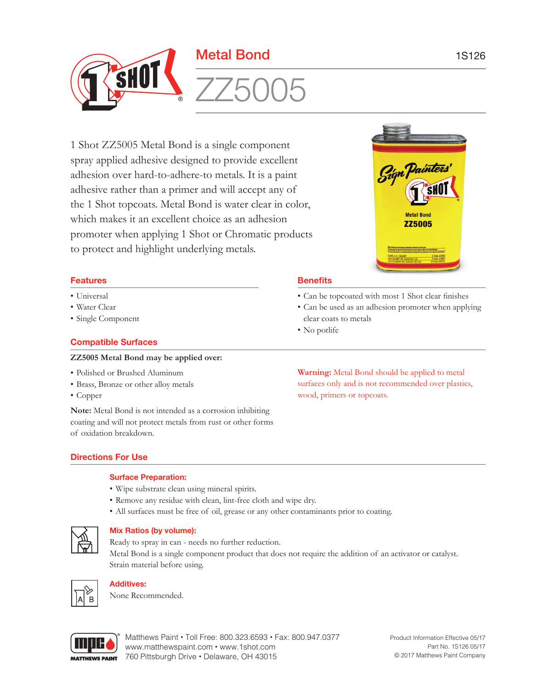

1 Shot ZZ5005 Metal Bond is a single component spray applied adhesive designed to provide excellent adhesion over hard-to-adhere-to metals. It is a paint adhesive rather than a primer and will accept any of the 1 Shot topcoats. Metal Bond is water clear in color, which makes it an excellent choice as an adhesion promoter when applying 1 Shot or Chromatic products to protect and highlight underlying metals.

# **Features**

- Universal
- Water Clear
- Single Component

# **Compatible Surfaces**

## **ZZ5005 Metal Bond may be applied over:**

- Polished or Brushed Aluminum
- Brass, Bronze or other alloy metals
- Copper

**Note:** Metal Bond is not intended as a corrosion inhibiting coating and will not protect metals from rust or other forms of oxidation breakdown.

# **Directions For Use**

## **Surface Preparation:**

- Wipe substrate clean using mineral spirits.
- Remove any residue with clean, lint-free cloth and wipe dry.
- All surfaces must be free of oil, grease or any other contaminants prior to coating.



## **Mix Ratios (by volume):**

Ready to spray in can - needs no further reduction. Metal Bond is a single component product that does not require the addition of an activator or catalyst. Strain material before using.



# **Additives:**

None Recommended.



Matthews Paint • Toll Free: 800.323.6593 • Fax: 800.947.0377 www.matthewspaint.com • www.1shot.com 760 Pittsburgh Drive • Delaware, OH 43015



## **Benefits**

- • Can be topcoated with most 1 Shot clear finishes
- Can be used as an adhesion promoter when applying clear coats to metals
- No potlife

**Warning:** Metal Bond should be applied to metal surfaces only and is not recommended over plastics, wood, primers or topcoats.

> Product Information Effective 05/17 Part No. 1S126 05/17 © 2017 Matthews Paint Company